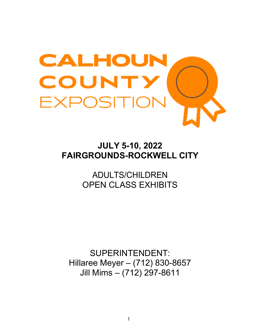

# **JULY 5-10, 2022 FAIRGROUNDS-ROCKWELL CITY**

ADULTS/CHILDREN OPEN CLASS EXHIBITS

SUPERINTENDENT: Hillaree Meyer – (712) 830-8657 Jill Mims – (712) 297-8611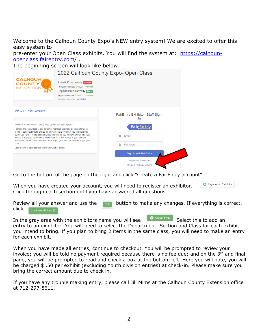Welcome to the Calhoun County Expo's NEW entry system! We are excited to offer this easy system to

pre-enter your Open Class exhibits. You will find the system at: [https://calhoun](https://calhoun-openclass.fairentry.com/)[openclass.fairentry.com/](https://calhoun-openclass.fairentry.com/) .

The beginning screen will look like below.

|                                                                                                                                                                                                                                                                                                                                                                                                                                                                                                                  | 2022 Calhoun County Expo- Open Class                                                                                                                                                               |                                               |
|------------------------------------------------------------------------------------------------------------------------------------------------------------------------------------------------------------------------------------------------------------------------------------------------------------------------------------------------------------------------------------------------------------------------------------------------------------------------------------------------------------------|----------------------------------------------------------------------------------------------------------------------------------------------------------------------------------------------------|-----------------------------------------------|
| <b>CALHOUN</b><br><b>COUNTY</b><br><b>EXPOSITION</b>                                                                                                                                                                                                                                                                                                                                                                                                                                                             | Animal ID is currently <b>Closed</b><br>Registration dates: 1/1/0001 - 1/1/0001<br>Registration is currently open<br>Registration dates: 4/18/2022 - 7/7/2022<br>Exceptions may apply View Details |                                               |
| <b>View Public Results</b>                                                                                                                                                                                                                                                                                                                                                                                                                                                                                       |                                                                                                                                                                                                    | FairEntry Exhibitor, Staff Sign-<br><b>In</b> |
| Welcome to the Calhoun County Expo Open Class entry system.<br>Families are encouraged to add all family members and make all entries for each<br>member before submitting entries for payment in the system. If you submit entries<br>before you have finished adding members or entries, you will have to wait until your<br>invoice is approved before being allowed to start a new invoice. If you need any<br>assistance, please contact Hillaree Meyer at (712)830-8657 or Jill Mims at (712)464-<br>0046. |                                                                                                                                                                                                    | <b>Fair</b> Entry                             |
|                                                                                                                                                                                                                                                                                                                                                                                                                                                                                                                  |                                                                                                                                                                                                    | Email<br>Σ                                    |
|                                                                                                                                                                                                                                                                                                                                                                                                                                                                                                                  |                                                                                                                                                                                                    | ≏<br>Password                                 |
| Click the link to open the fairbook in a new tab: Fairbook                                                                                                                                                                                                                                                                                                                                                                                                                                                       |                                                                                                                                                                                                    | Sign In with FairEntry                        |
|                                                                                                                                                                                                                                                                                                                                                                                                                                                                                                                  |                                                                                                                                                                                                    | Forgot your password?                         |
|                                                                                                                                                                                                                                                                                                                                                                                                                                                                                                                  |                                                                                                                                                                                                    | Create a FairEntry account                    |

Go to the bottom of the page on the right and click "Create a FairEntry account".

**C** Register an Exhibitor When you have created your account, you will need to register an exhibitor. Click through each section until you have answered all questions.

Review all your answer and use the  $\mathbf{F}_{\text{right}}$  button to make any changes. If everything is correct, click Continue to Entries O

In the gray area with the exhibitors name you will see  $\left[\begin{array}{cc} \bullet & \bullet\end{array}\right]$  Select this to add an entry to an exhibitor. You will need to select the Department, Section and Class for each exhibit you intend to bring. If you plan to bring 2 items in the same class, you will need to make an entry for each exhibit.

When you have made all entries, continue to checkout. You will be prompted to review your invoice; you will be told no payment required because there is no fee due; and on the 3<sup>rd</sup> and final page, you will be prompted to read and check a box at the bottom left. Here you will note, you will be charged \$ .50 per exhibit (excluding Youth division entries) at check-in. Please make sure you bring the correct amount due to check in.

If you have any trouble making entry, please call Jill Mims at the Calhoun County Extension office at 712-297-8611.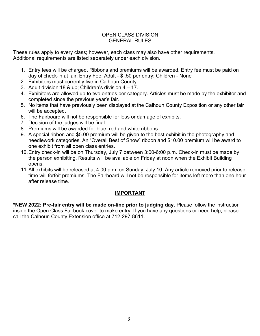#### OPEN CLASS DIVISION GENERAL RULES

These rules apply to every class; however, each class may also have other requirements. Additional requirements are listed separately under each division.

- 1. Entry fees will be charged. Ribbons and premiums will be awarded. Entry fee must be paid on day of check-in at fair. Entry Fee: Adult - \$ .50 per entry; Children - None
- 2. Exhibitors must currently live in Calhoun County.
- 3. Adult division:18 & up; Children's division 4 17.
- 4. Exhibitors are allowed up to two entries per category. Articles must be made by the exhibitor and completed since the previous year's fair.
- 5. No items that have previously been displayed at the Calhoun County Exposition or any other fair will be accepted.
- 6. The Fairboard will not be responsible for loss or damage of exhibits.
- 7. Decision of the judges will be final.
- 8. Premiums will be awarded for blue, red and white ribbons.
- 9. A special ribbon and \$5.00 premium will be given to the best exhibit in the photography and needlework categories. An "Overall Best of Show" ribbon and \$10.00 premium will be award to one exhibit from all open class entries.
- 10.Entry check-in will be on Thursday, July 7 between 3:00-6:00 p.m. Check-in must be made by the person exhibiting. Results will be available on Friday at noon when the Exhibit Building opens.
- 11.All exhibits will be released at 4:00 p.m. on Sunday, July 10. Any article removed prior to release time will forfeit premiums. The Fairboard will not be responsible for items left more than one hour after release time.

## **IMPORTANT**

**\*NEW 2022: Pre-fair entry will be made on-line prior to judging day.** Please follow the instruction inside the Open Class Fairbook cover to make entry. If you have any questions or need help, please call the Calhoun County Extension office at 712-297-8611.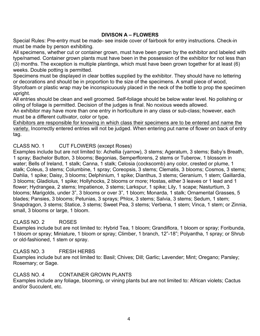## **DIVISON A – FLOWERS**

Special Rules: Pre-entry must be made- see inside cover of fairbook for entry instructions. Check-in must be made by person exhibiting.

All specimens, whether cut or container grown, must have been grown by the exhibitor and labeled with type/named. Container grown plants must have been in the possession of the exhibitor for not less than (3) months. The exception is multiple plantings, which must have been grown together for at least (6) weeks. Double potting is permitted.

Specimens must be displayed in clear bottles supplied by the exhibitor. They should have no lettering or decorations and should be in proportion to the size of the specimens. A small piece of wood, Styrofoam or plastic wrap may be inconspicuously placed in the neck of the bottle to prop the specimen upright.

All entries should be clean and well groomed. Self-foliage should be below water level. No polishing or oiling of foliage is permitted. Decision of the judges is final. No noxious weeds allowed.

An exhibitor may have more than one entry in horticulture in any class or sub-class; however, each must be a different cultivator, color or type.

Exhibitors are responsible for knowing in which class their specimens are to be entered and name the variety. Incorrectly entered entries will not be judged. When entering put name of flower on back of entry tag.

## CLASS NO. 1 CUT FLOWERS (except Roses)

Examples include but are not limited to: Achellia (yarrow), 3 stems; Ageratum, 3 stems; Baby's Breath, 1 spray; Bachelor Button, 3 blooms; Begonias, Semperflorens, 2 stems or Tuberow, 1 blossom in water; Bells of Ireland, 1 stalk; Canna, 1 stalk; Celosia (cockscomb) any color, crested or plume, 1 stalk; Coleus, 3 stems; Columbine, 1 spray; Coreopsis, 3 stems; Clematis, 3 blooms; Cosmos, 3 stems; Dahlia, 1 spike; Daisy, 3 blooms; Delphinium, 1 spike; Dianthus, 3 stems; Geranium, 1 stem; Gaillardia, 3 blooms; Gladiolus, 1 spike; Hollyhocks, 2 blooms or more; Hostas, either 3 leaves or 1 lead and 1 flower; Hydrangea, 2 stems; Impatience, 3 stems; Larkspur, 1 spike; Lily, 1 scape; Nasturtium, 3 blooms; Marigolds, under 3", 3 blooms or over 3", 1 bloom; Monarda, 1 stalk; Ornamental Grasses, 5 blades; Pansies, 3 blooms; Petunias, 3 sprays; Phlox, 3 stems; Salvia, 3 stems; Sedum, 1 stem; Snapdragon, 3 stems; Statice, 3 stems; Sweet Pea, 3 stems; Verbena, 1 stem; Vinca, 1 stem; or Zinnia, small, 3 blooms or large, 1 bloom.

## CLASS NO. 2 ROSES

Examples include but are not limited to: Hybrid Tea, 1 bloom; Grandiflora, 1 bloom or spray; Foribunda, 1 bloom or spray; Miniature, 1 bloom or spray; Climber, 1 branch, 12"-18"; Polyantha, 1 spray; or Shrub or old-fashioned, 1 stem or spray.

#### CLASS NO. 3 FRESH HERBS

Examples include but are not limited to: Basil; Chives; Dill; Garlic; Lavender; Mint; Oregano; Parsley; Rosemary; or Sage.

## CLASS NO. 4 CONTAINER GROWN PLANTS

Examples include any foliage, blooming, or vining plants but are not limited to: African violets; Cactus and/or Succulent, etc.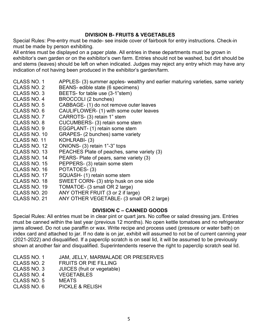## **DIVISION B- FRUITS & VEGETABLES**

Special Rules: Pre-entry must be made- see inside cover of fairbook for entry instructions. Check-in must be made by person exhibiting.

All entries must be displayed on a paper plate. All entries in these departments must be grown in exhibitor's own garden or on the exhibitor's own farm. Entries should not be washed, but dirt should be and stems (leaves) should be left on when indicated. Judges may reject any entry which may have any indication of not having been produced in the exhibitor's garden/farm.

- CLASS NO. 1 APPLES- (3) summer apples- wealthy and earlier maturing varieties, same variety
- CLASS NO. 2 BEANS- edible state (6 specimens)
- CLASS NO. 3 BEETS- for table use (3-1"stem)
- CLASS NO. 4 BROCCOLI (2 bunches)<br>CLASS NO. 5 CABBAGE- (1) do not rer
- CABBAGE- (1) do not remove outer leaves
- CLASS NO. 6 CAULIFLOWER- (1) with some outer leaves<br>CLASS NO. 7 CARROTS- (3) retain 1" stem
- CARROTS- (3) retain 1" stem
- CLASS NO. 8 CUCUMBERS- (3) retain some stem
- CLASS NO. 9 EGGPLANT- (1) retain some stem
- CLASS NO. 10 GRAPES- (2 bunches) same variety
- CLASS N0. 11 KOHLRABI- (3)
- CLASS NO. 12 ONIONS- (3) retain 1"-3" tops
- CLASS NO. 13 PEACHES Plate of peaches, same variety (3)
- CLASS NO. 14 PEARS- Plate of pears, same variety (3)<br>CLASS NO. 15 PEPPERS- (3) retain some stem
- PEPPERS- (3) retain some stem
- CLASS NO. 16 POTATOES- (3)
- CLASS NO. 17 SQUASH- (1) retain some stem
- CLASS NO. 18 SWEET CORN- (3) strip husk on one side<br>CLASS NO. 19 TOMATOE- (3 small OR 2 large)
- TOMATOE- (3 small OR 2 large)
- CLASS NO. 20 ANY OTHER FRUIT (3 or 2 if large)
- CLASS NO. 21 ANY OTHER VEGETABLE- (3 small OR 2 large)

#### **DIVISION C – CANNED GOODS**

Special Rules: All entries must be in clear pint or quart jars. No coffee or salad dressing jars. Entries must be canned within the last year (previous 12 months). No open kettle tomatoes and no refrigerator jams allowed. Do not use paraffin or wax. Write recipe and process used (pressure or water bath) on index card and attached to jar. If no date is on jar, exhibit will assumed to not be of current canning year (2021-2022) and disqualified. If a paperclip scratch is on seal lid, it will be assumed to be previously shown at another fair and disqualified. Superintendents reserve the right to paperclip scratch seal lid.

- CLASS NO. 1 JAM, JELLY, MARMALADE OR PRESERVES
- CLASS NO. 2 FRUITS OR PIE FILLING<br>CLASS NO. 3 JUICES (fruit or vegetable
- JUICES (fruit or vegetable)
- CLASS NO. 4 VEGETABLES
- CLASS NO. 5 MEATS
- CLASS NO. 6 PICKLE & RELISH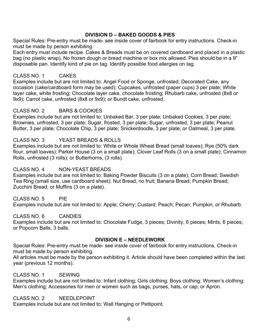## **DIVISION D – BAKED GOODS & PIES**

Special Rules: Pre-entry must be made- see inside cover of fairbook for entry instructions. Check-in must be made by person exhibiting.

Each entry must include recipe. Cakes & Breads must be on covered cardboard and placed in a plastic bag (no plastic wrap). No frozen dough or bread machine or box mix allowed. Pies should be in a 9" disposable pan. Identify kind of pie on tag. Identify possible food allergies on tag.

#### CLASS NO. 1 CAKES

Examples include but are not limited to: Angel Food or Sponge, unfrosted; Decorated Cake, any occasion (cake/cardboard form may be used); Cupcakes, unfrosted (paper cups) 3 per plate; White layer cake, white frosting; Chocolate layer cake, chocolate frosting; Rhubarb cake, unfrosted (8x8 or 9x9); Carrot cake, unfrosted (8x8 or 9x9); or Bundt cake, unfrosted.

#### CLASS NO. 2 BARS & COOKIES

Examples include but are not limited to: Unbaked Bar, 3 per plate; Unbaked Cookies, 3 per plate; Brownies, unfrosted, 3 per plate; Sugar, frosted, 3 per plate; Sugar, unfrosted, 3 per plate; Peanut Butter, 3 per plate; Chocolate Chip, 3 per plate; Snickerdoodle, 3 per plate; or Oatmeal, 3 per plate.

## CLASS NO. 3 YEAST BREADS & ROLLS

Examples include but are not limited to: White or Whole Wheat Bread (small loaves); Rye (50% dark flour, small loaves); Parker House (3 on a small plate); Clover Leaf Rolls (3 on a small plate); Cinnamon Rolls, unfrosted (3 rolls); or Butterhorns, (3 rolls).

#### CLASS NO. 4 NON-YEAST BREADS

Examples include but are not limited to: Baking Powder Biscuits (3 on a plate); Corn Bread; Swedish Tea Ring (small size, use cardboard sheet); Nut Bread, no fruit; Banana Bread; Pumpkin Bread; Zucchini Bread; or Muffins (3 on a plate).

# CLASS NO. 5 PIE

Examples include but are not limited to: Apple; Cherry; Custard; Peach; Pecan; Pumpkin, or Rhubarb.

# CLASS NO. 6 CANDIES

Examples include but are not limited to: Chocolate Fudge, 3 pieces; Divinity, 6 pieces; Mints, 6 pieces; or Popcorn Balls, 3 balls.

# **DIVISION E – NEEDLEWORK**

Special Rules: Pre-entry must be made- see inside cover of fairbook for entry instructions. Check-in must be made by person exhibiting.

All articles must be made by the person exhibiting it. Article should have been completed within the last year (previous 12 months).

# CLASS NO. 1 SEWING

Examples include but are not limited to: Infant clothing; Girls clothing; Boys clothing; Women's clothing; Men's clothing; Accessories for men or women such as bags, purses, hats, or cap; or Apron.

CLASS NO. 2 NEEDLEPOINT

Examples include but are not limited to: Wall Hanging or Pettipoint.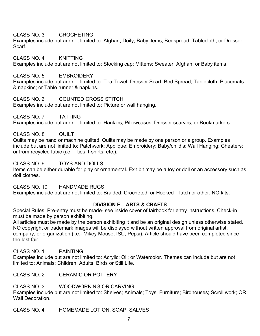CLASS NO. 3 CROCHETING

Examples include but are not limited to: Afghan; Doily; Baby items; Bedspread; Tablecloth; or Dresser Scarf.

CLASS NO. 4 KNITTING Examples include but are not limited to: Stocking cap; Mittens; Sweater; Afghan; or Baby items.

CLASS NO. 5 EMBROIDERY Examples include but are not limited to: Tea Towel; Dresser Scarf; Bed Spread; Tablecloth; Placemats & napkins; or Table runner & napkins.

CLASS NO. 6 COUNTED CROSS STITCH Examples include but are not limited to: Picture or wall hanging.

CLASS NO. 7 TATTING Examples include but are not limited to: Hankies; Pillowcases; Dresser scarves; or Bookmarkers.

CLASS NO. 8 QUILT Quilts may be hand or machine quilted. Quilts may be made by one person or a group. Examples include but are not limited to: Patchwork; Applique; Embroidery; Baby/child's; Wall Hanging; Cheaters; or from recycled fabic (i.e. – ties, t-shirts, etc.).

CLASS NO. 9 TOYS AND DOLLS Items can be either durable for play or ornamental. Exhibit may be a toy or doll or an accessory such as doll clothes.

CLASS NO. 10 HANDMADE RUGS Examples include but are not limited to: Braided; Crocheted; or Hooked – latch or other. NO kits.

## **DIVISION F – ARTS & CRAFTS**

Special Rules: Pre-entry must be made- see inside cover of fairbook for entry instructions. Check-in must be made by person exhibiting.

All articles must be made by the person exhibiting it and be an original design unless otherwise stated. NO copyright or trademark images will be displayed without written approval from original artist, company, or organization (i.e.- Mikey Mouse, ISU, Pepsi). Article should have been completed since the last fair.

CLASS NO. 1 PAINTING

Examples include but are not limited to: Acrylic; Oil; or Watercolor. Themes can include but are not limited to: Animals; Children; Adults; Birds or Still Life.

CLASS NO. 2 CERAMIC OR POTTERY

CLASS NO. 3 WOODWORKING OR CARVING

Examples include but are not limited to: Shelves; Animals; Toys; Furniture; Birdhouses; Scroll work; OR Wall Decoration.

CLASS NO. 4 HOMEMADE LOTION, SOAP, SALVES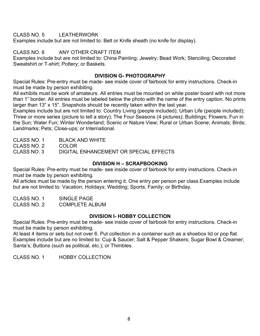CLASS NO. 5 LEATHERWORK

Examples include but are not limited to: Belt or Knife sheath (no knife for display).

CLASS NO. 6 ANY OTHER CRAFT ITEM

Examples include but are not limited to: China Painting; Jewelry; Bead Work; Stenciling; Decorated Sweatshirt or T-shirt; Pottery; or Baskets.

# **DIVISION G- PHOTOGRAPHY**

Special Rules: Pre-entry must be made- see inside cover of fairbook for entry instructions. Check-in must be made by person exhibiting.

All exhibits must be work of amateurs. All entries must be mounted on white poster board with not more than 1" border. All entries must be labeled below the photo with the name of the entry caption. No prints larger than 13" x 15". Snapshots should be recently taken within the last year.

Examples include but are not limited to: Country Living (people included); Urban Life (people included); Three or more series (picture to tell a story); The Four Seasons (4 pictures); Buildings; Flowers; Fun in the Sun; Water Fun; Winter Wonderland; Scenic or Nature View; Rural or Urban Scene; Animals; Birds; Landmarks; Pets; Close-ups; or International.

CLASS NO. 1 BLACK AND WHITE

CLASS NO. 2 COLOR<br>CLASS NO. 3 DIGITAL

DIGITAL ENHANCEMENT OR SPECIAL EFFECTS

# **DIVISION H – SCRAPBOOKING**

Special Rules: Pre-entry must be made- see inside cover of fairbook for entry instructions. Check-in must be made by person exhibiting.

All articles must be made by the person entering it. One entry per person per class.Examples include but are not limited to: Vacation; Holidays; Wedding; Sports; Family; or Birthday.

CLASS NO. 1 SINGLE PAGE CLASS NO. 2 COMPLETE ALBUM

## **DIVISION I- HOBBY COLLECTION**

Special Rules: Pre-entry must be made- see inside cover of fairbook for entry instructions. Check-in must be made by person exhibiting.

At least 4 items or sets but not over 6. Put collection in a container such as a shoebox lid or pop flat. Examples include but are no limited to: Cup & Saucer; Salt & Pepper Shakers; Sugar Bowl & Creamer; Santa's; Buttons (such as political, etc.); or Thimbles.

CLASS NO. 1 HOBBY COLLECTION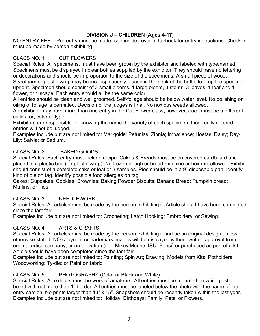# **DIVISION J – CHILDREN (Ages 4-17)**

NO ENTRY FEE – Pre-entry must be made- see inside cover of fairbook for entry instructions. Check-in must be made by person exhibiting.

# CLASS NO. 1 CUT FLOWERS

Special Rules: All specimens, must have been grown by the exhibitor and labeled with type/named. Specimens must be displayed in clear bottles supplied by the exhibitor. They should have no lettering or decorations and should be in proportion to the size of the specimens. A small piece of wood, Styrofoam or plastic wrap may be inconspicuously placed in the neck of the bottle to prop the specimen upright. Specimen should consist of 3 small blooms, 1 large bloom, 3 stems, 3 leaves, 1 leaf and 1 flower, or 1 scape. Each entry should all be the same color.

All entries should be clean and well groomed. Self-foliage should be below water level. No polishing or oiling of foliage is permitted. Decision of the judges is final. No noxious weeds allowed.

An exhibitor may have more than one entry in the Cut Flower class; however, each must be a different cultivator, color or type.

Exhibitors are responsible for knowing the name the variety of each specimen. Incorrectly entered entries will not be judged.

Examples include but are not limited to: Marigolds; Petunias; Zinnia; Impatience; Hostas; Daisy; Day-Lily; Salvia; or Sedium.

# CLASS NO. 2 BAKED GOODS

Special Rules: Each entry must include recipe. Cakes & Breads must be on covered cardboard and placed in a plastic bag (no plastic wrap). No frozen dough or bread machine or box mix allowed. Exhibit should consist of a complete cake or loaf or 3 samples. Pies should be in a 9" disposable pan. Identify kind of pie on tag. Identify possible food allergies on tag.

Cakes; Cupcakes; Cookies; Brownies; Baking Powder Biscuits; Banana Bread; Pumpkin bread; Muffins; or Pies.

## CLASS NO. 3 NEEDLEWORK

Special Rules: All articles must be made by the person exhibiting it. Article should have been completed since the last fair.

Examples include but are not limited to: Crocheting; Latch Hooking; Embroidery; or Sewing.

# CLASS NO. 4 ARTS & CRAFTS

Special Rules: All articles must be made by the person exhibiting it and be an original design unless otherwise stated. NO copyright or trademark images will be displayed without written approval from original artist, company, or organization (i.e.- Mikey Mouse, ISU, Pepsi) or purchased as part of a kit. Article should have been completed since the last fair.

Examples include but are not limited to: Painting; Spin Art; Drawing; Models from Kits; Potholders; Woodworking; Ty-die; or Paint on fabric.

# CLASS NO. 5 PHOTOGRAPHY (Color or Black and White)

Special Rules: All exhibits must be work of amateurs. All entries must be mounted on white poster board with not more than 1" border. All entries must be labeled below the photo with the name of the entry caption. No prints larger than 13" x 15". Snapshots should be recently taken within the last year. Examples include but are not limited to: Holiday; Birthdays; Family; Pets; or Flowers.